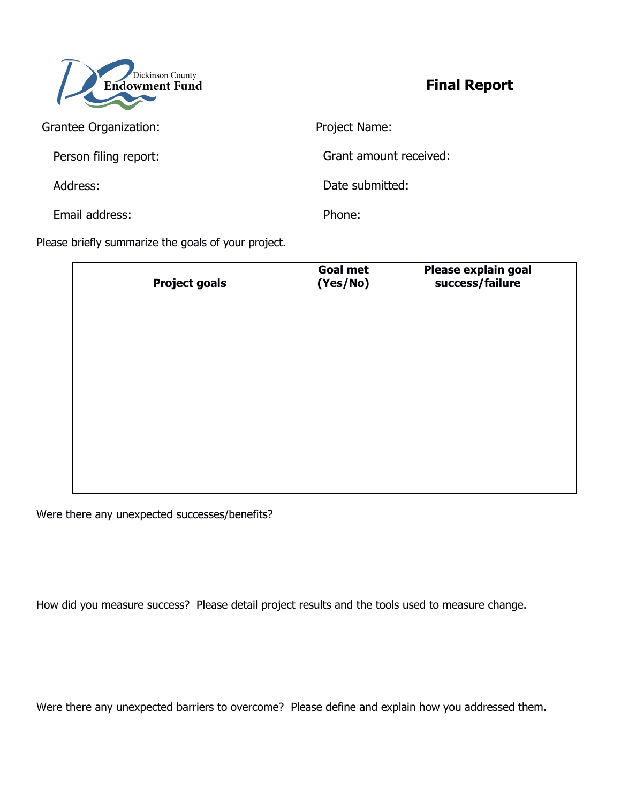

**Final Report** 

| Grantee Organization: | Project Name:          |
|-----------------------|------------------------|
| Person filing report: | Grant amount received: |
| Address:              | Date submitted:        |
| Email address:        | Phone:                 |

Please briefly summarize the goals of your project.

| <b>Project goals</b> | <b>Goal met</b><br>(Yes/No) | Please explain goal<br>success/failure |
|----------------------|-----------------------------|----------------------------------------|
|                      |                             |                                        |
|                      |                             |                                        |
|                      |                             |                                        |
|                      |                             |                                        |
|                      |                             |                                        |
|                      |                             |                                        |
|                      |                             |                                        |
|                      |                             |                                        |

Were there any unexpected successes/benefits?

How did you measure success? Please detail project results and the tools used to measure change.

Were there any unexpected barriers to overcome? Please define and explain how you addressed them.